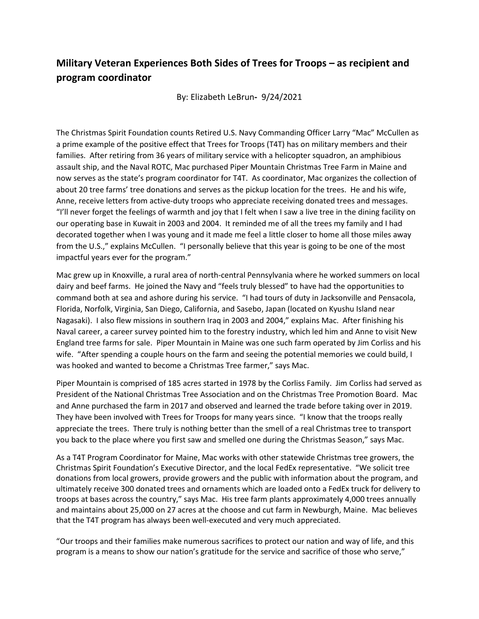## **Military Veteran Experiences Both Sides of Trees for Troops – as recipient and program coordinator**

By: Elizabeth LeBrun**-** 9/24/2021

The Christmas Spirit Foundation counts Retired U.S. Navy Commanding Officer Larry "Mac" McCullen as a prime example of the positive effect that Trees for Troops (T4T) has on military members and their families. After retiring from 36 years of military service with a helicopter squadron, an amphibious assault ship, and the Naval ROTC, Mac purchased Piper Mountain Christmas Tree Farm in Maine and now serves as the state's program coordinator for T4T. As coordinator, Mac organizes the collection of about 20 tree farms' tree donations and serves as the pickup location for the trees. He and his wife, Anne, receive letters from active-duty troops who appreciate receiving donated trees and messages. "I'll never forget the feelings of warmth and joy that I felt when I saw a live tree in the dining facility on our operating base in Kuwait in 2003 and 2004. It reminded me of all the trees my family and I had decorated together when I was young and it made me feel a little closer to home all those miles away from the U.S.," explains McCullen. "I personally believe that this year is going to be one of the most impactful years ever for the program."

Mac grew up in Knoxville, a rural area of north-central Pennsylvania where he worked summers on local dairy and beef farms. He joined the Navy and "feels truly blessed" to have had the opportunities to command both at sea and ashore during his service. "I had tours of duty in Jacksonville and Pensacola, Florida, Norfolk, Virginia, San Diego, California, and Sasebo, Japan (located on Kyushu Island near Nagasaki). I also flew missions in southern Iraq in 2003 and 2004," explains Mac. After finishing his Naval career, a career survey pointed him to the forestry industry, which led him and Anne to visit New England tree farms for sale. Piper Mountain in Maine was one such farm operated by Jim Corliss and his wife. "After spending a couple hours on the farm and seeing the potential memories we could build, I was hooked and wanted to become a Christmas Tree farmer," says Mac.

Piper Mountain is comprised of 185 acres started in 1978 by the Corliss Family. Jim Corliss had served as President of the National Christmas Tree Association and on the Christmas Tree Promotion Board. Mac and Anne purchased the farm in 2017 and observed and learned the trade before taking over in 2019. They have been involved with Trees for Troops for many years since. "I know that the troops really appreciate the trees. There truly is nothing better than the smell of a real Christmas tree to transport you back to the place where you first saw and smelled one during the Christmas Season," says Mac.

As a T4T Program Coordinator for Maine, Mac works with other statewide Christmas tree growers, the Christmas Spirit Foundation's Executive Director, and the local FedEx representative. "We solicit tree donations from local growers, provide growers and the public with information about the program, and ultimately receive 300 donated trees and ornaments which are loaded onto a FedEx truck for delivery to troops at bases across the country," says Mac. His tree farm plants approximately 4,000 trees annually and maintains about 25,000 on 27 acres at the choose and cut farm in Newburgh, Maine. Mac believes that the T4T program has always been well-executed and very much appreciated.

"Our troops and their families make numerous sacrifices to protect our nation and way of life, and this program is a means to show our nation's gratitude for the service and sacrifice of those who serve,"